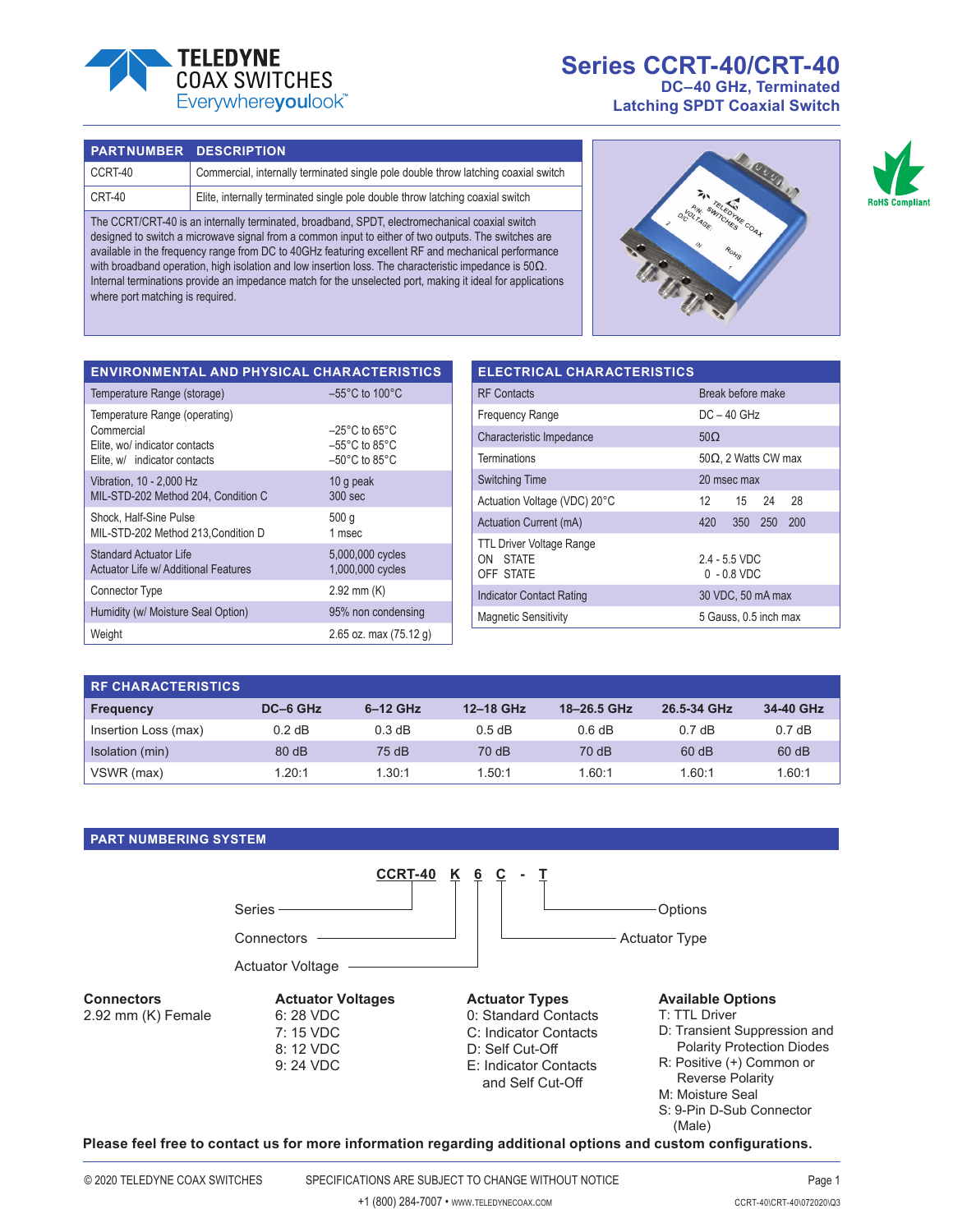

# **Series CCRT-40/CRT-40 DC–40 GHz, Terminated**

**Latching SPDT Coaxial Switch**

#### **PART NUMBER DESCRIPTION**

| CCRT-40 | Commercial, internally terminated single pole double throw latching coaxial switch |
|---------|------------------------------------------------------------------------------------|
| CRT-40  | Elite, internally terminated single pole double throw latching coaxial switch      |

The CCRT/CRT-40 is an internally terminated, broadband, SPDT, electromechanical coaxial switch designed to switch a microwave signal from a common input to either of two outputs. The switches are available in the frequency range from DC to 40GHz featuring excellent RF and mechanical performance with broadband operation, high isolation and low insertion loss. The characteristic impedance is 50Ω. Internal terminations provide an impedance match for the unselected port, making it ideal for applications where port matching is required.





| $-55^{\circ}$ C to 100 $^{\circ}$ C<br>Temperature Range (storage)<br>Temperature Range (operating)<br>Commercial<br>$-25^{\circ}$ C to 65 $^{\circ}$ C<br>$-55^{\circ}$ C to 85 $^{\circ}$ C<br>Elite, wo/ indicator contacts<br>$-50^{\circ}$ C to 85 $^{\circ}$ C<br>Elite, w/ indicator contacts<br>Vibration, 10 - 2,000 Hz<br>10 g peak<br>$300$ sec<br>MIL-STD-202 Method 204, Condition C | <b>ENVIRONMENTAL AND PHYSICAL CHARACTERISTICS</b> |      |
|---------------------------------------------------------------------------------------------------------------------------------------------------------------------------------------------------------------------------------------------------------------------------------------------------------------------------------------------------------------------------------------------------|---------------------------------------------------|------|
|                                                                                                                                                                                                                                                                                                                                                                                                   |                                                   |      |
|                                                                                                                                                                                                                                                                                                                                                                                                   |                                                   |      |
|                                                                                                                                                                                                                                                                                                                                                                                                   |                                                   |      |
| 1 msec<br>MIL-STD-202 Method 213, Condition D                                                                                                                                                                                                                                                                                                                                                     | Shock, Half-Sine Pulse                            | 500q |
| <b>Standard Actuator Life</b><br>5,000,000 cycles<br>1,000,000 cycles<br>Actuator Life w/ Additional Features                                                                                                                                                                                                                                                                                     |                                                   |      |
| $2.92$ mm $(K)$<br>Connector Type                                                                                                                                                                                                                                                                                                                                                                 |                                                   |      |
| Humidity (w/ Moisture Seal Option)<br>95% non condensing                                                                                                                                                                                                                                                                                                                                          |                                                   |      |
| Weight<br>2.65 oz. max $(75.12 g)$                                                                                                                                                                                                                                                                                                                                                                |                                                   |      |

| <b>ELECTRICAL CHARACTERISTICS</b>                        |                                  |  |  |  |  |  |
|----------------------------------------------------------|----------------------------------|--|--|--|--|--|
| <b>RF</b> Contacts                                       | Break before make                |  |  |  |  |  |
| <b>Frequency Range</b>                                   | $DC - 40$ GHz                    |  |  |  |  |  |
| Characteristic Impedance                                 | $50\Omega$                       |  |  |  |  |  |
| Terminations                                             | $50\Omega$ , 2 Watts CW max      |  |  |  |  |  |
| <b>Switching Time</b>                                    | 20 msec max                      |  |  |  |  |  |
| Actuation Voltage (VDC) 20°C                             | 12<br>-24<br>28<br>15            |  |  |  |  |  |
| Actuation Current (mA)                                   | 350 250<br>200<br>420            |  |  |  |  |  |
| <b>TTL Driver Voltage Range</b><br>ON STATE<br>OFF STATE | $2.4 - 5.5$ VDC<br>$0 - 0.8$ VDC |  |  |  |  |  |
| <b>Indicator Contact Rating</b>                          | 30 VDC, 50 mA max                |  |  |  |  |  |
| <b>Magnetic Sensitivity</b>                              | 5 Gauss, 0.5 inch max            |  |  |  |  |  |

| <b>RE CHARACTERISTICS</b> |          |            |           |             |             |           |
|---------------------------|----------|------------|-----------|-------------|-------------|-----------|
| <b>Frequency</b>          | DC-6 GHz | $6-12$ GHz | 12-18 GHz | 18-26.5 GHz | 26.5-34 GHz | 34-40 GHz |
| Insertion Loss (max)      | $0.2$ dB | 0.3 dB     | 0.5 dB    | 0.6 dB      | 0.7dB       | 0.7dB     |
| Isolation (min)           | 80dB     | 75 dB      | 70 dB     | 70 dB       | 60 dB       | 60 dB     |
| VSWR (max)                | 1.20:1   | 1.30:1     | 1.50:1    | 1.60:1      | 1.60:1      | 1.60:1    |

### **PART NUMBERING SYSTEM**



**Please feel free to contact us for more information regarding additional options and custom configurations.**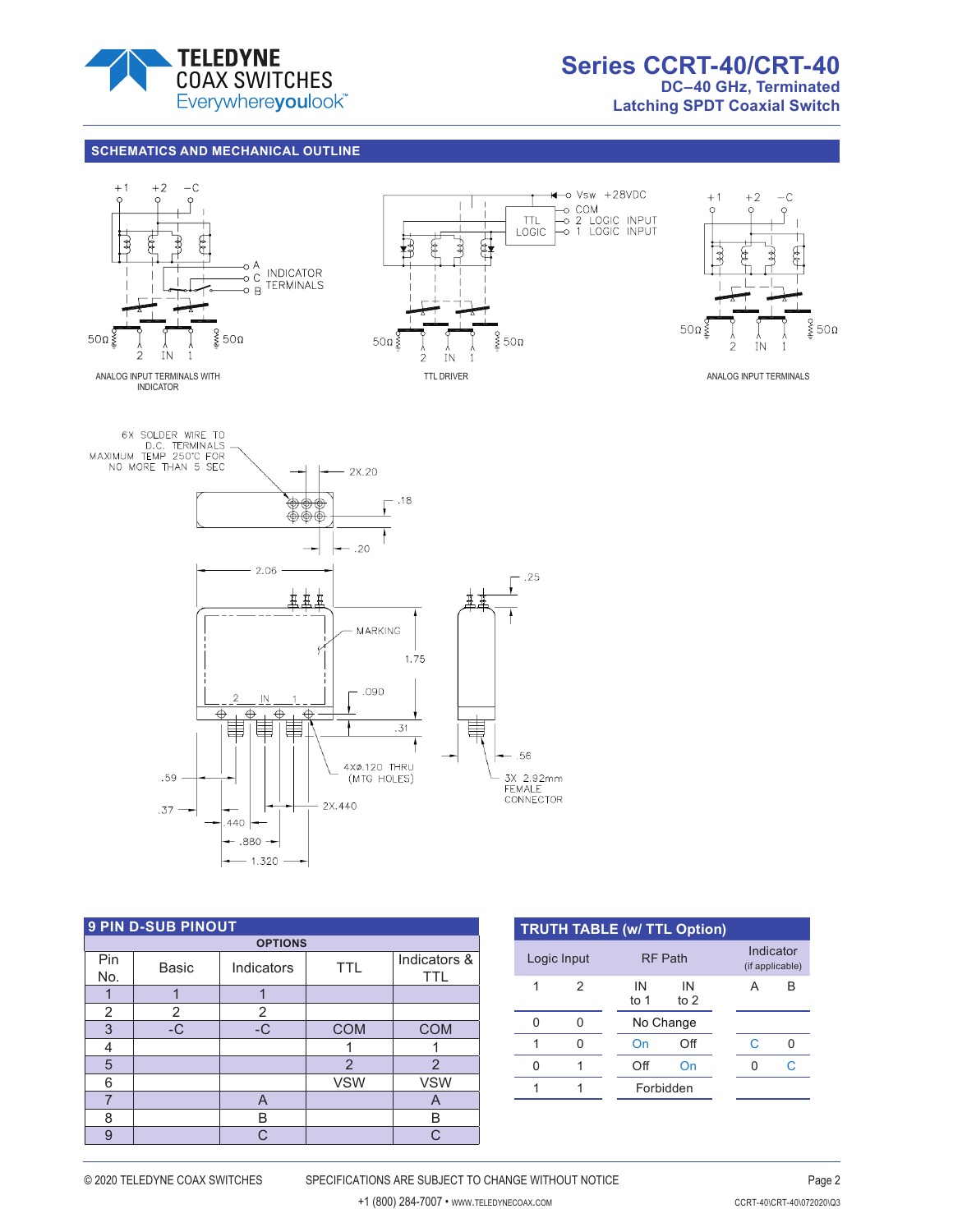

### **SCHEMATICS AND MECHANICAL OUTLINE**









| <b>9 PIN D-SUB PINOUT</b> |       |            |            |                            |  |  |
|---------------------------|-------|------------|------------|----------------------------|--|--|
| <b>OPTIONS</b>            |       |            |            |                            |  |  |
| Pin<br>No.                | Basic | Indicators | <b>TTL</b> | Indicators &<br><b>TTL</b> |  |  |
|                           |       |            |            |                            |  |  |
| 2                         | 2     | 2          |            |                            |  |  |
| 3                         | $-C$  | $-C$       | <b>COM</b> | <b>COM</b>                 |  |  |
| 4                         |       |            |            |                            |  |  |
| 5                         |       |            | 2          | $\overline{2}$             |  |  |
| 6                         |       |            | <b>VSW</b> | <b>VSW</b>                 |  |  |
| 7                         |       | A          |            | A                          |  |  |
| 8                         |       | B          |            | B                          |  |  |
| 9                         |       | C.         |            |                            |  |  |

| <b>TRUTH TABLE (w/ TTL Option)</b> |               |            |                |  |                              |   |  |
|------------------------------------|---------------|------------|----------------|--|------------------------------|---|--|
| Logic Input                        |               |            | <b>RF Path</b> |  | Indicator<br>(if applicable) |   |  |
| 1                                  | $\mathcal{P}$ | IN<br>to 1 | IN<br>to $2$   |  | А                            | B |  |
| Ω                                  |               |            | No Change      |  |                              |   |  |
|                                    |               | On         | Off            |  | C                            |   |  |
| N                                  |               | Off        | On             |  |                              | C |  |
|                                    |               |            | Forbidden      |  |                              |   |  |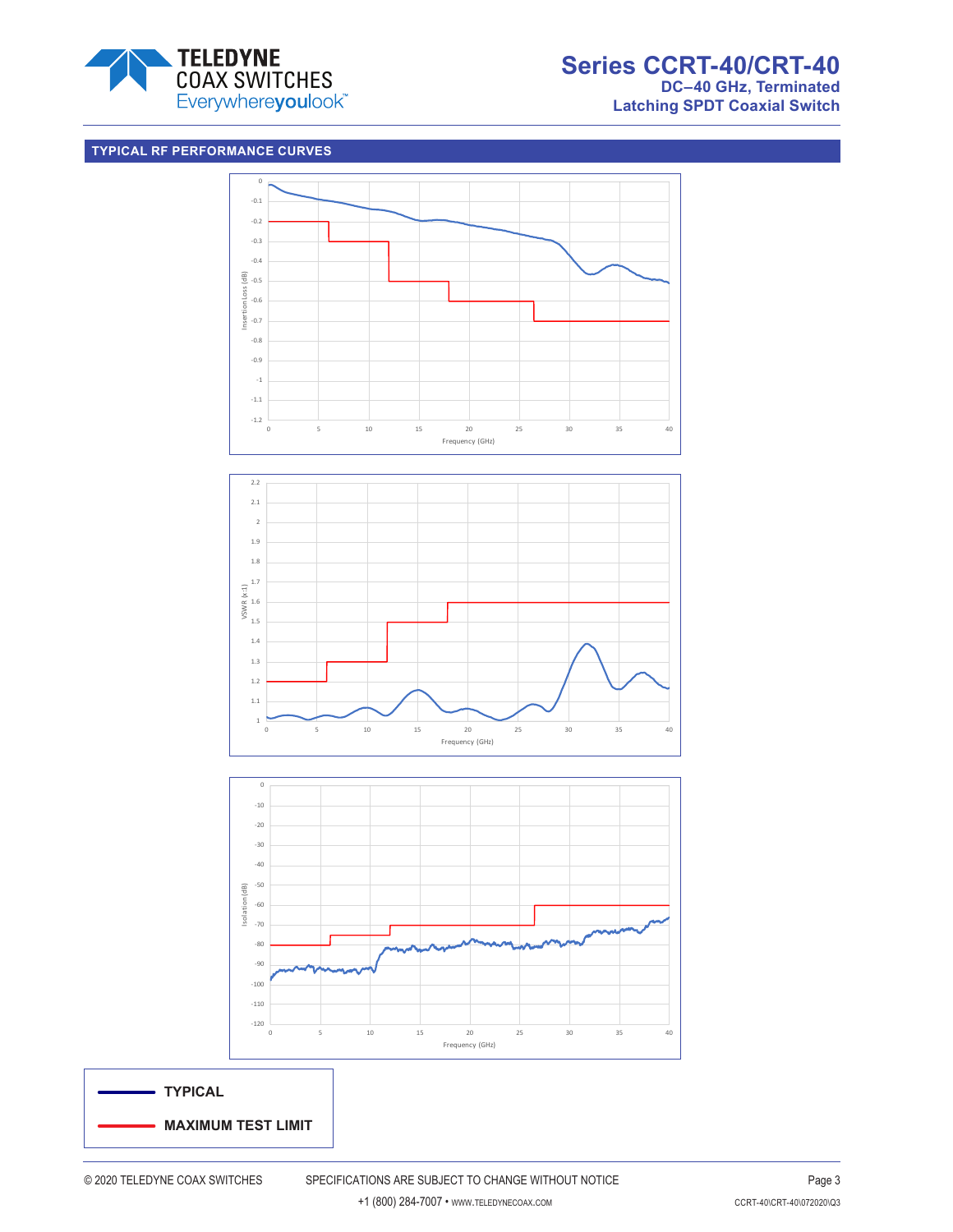

# **Series CCRT-40/CRT-40 DC–40 GHz, Terminated**

**Latching SPDT Coaxial Switch**

## **TYPICAL RF PERFORMANCE CURVES**



-40 -50 Isolation (dB) Isolation (dB) -60 -70 -80 -90 -100 -110 -120 0 5 10 15 20 25 30 35 40 Frequency (GHz)

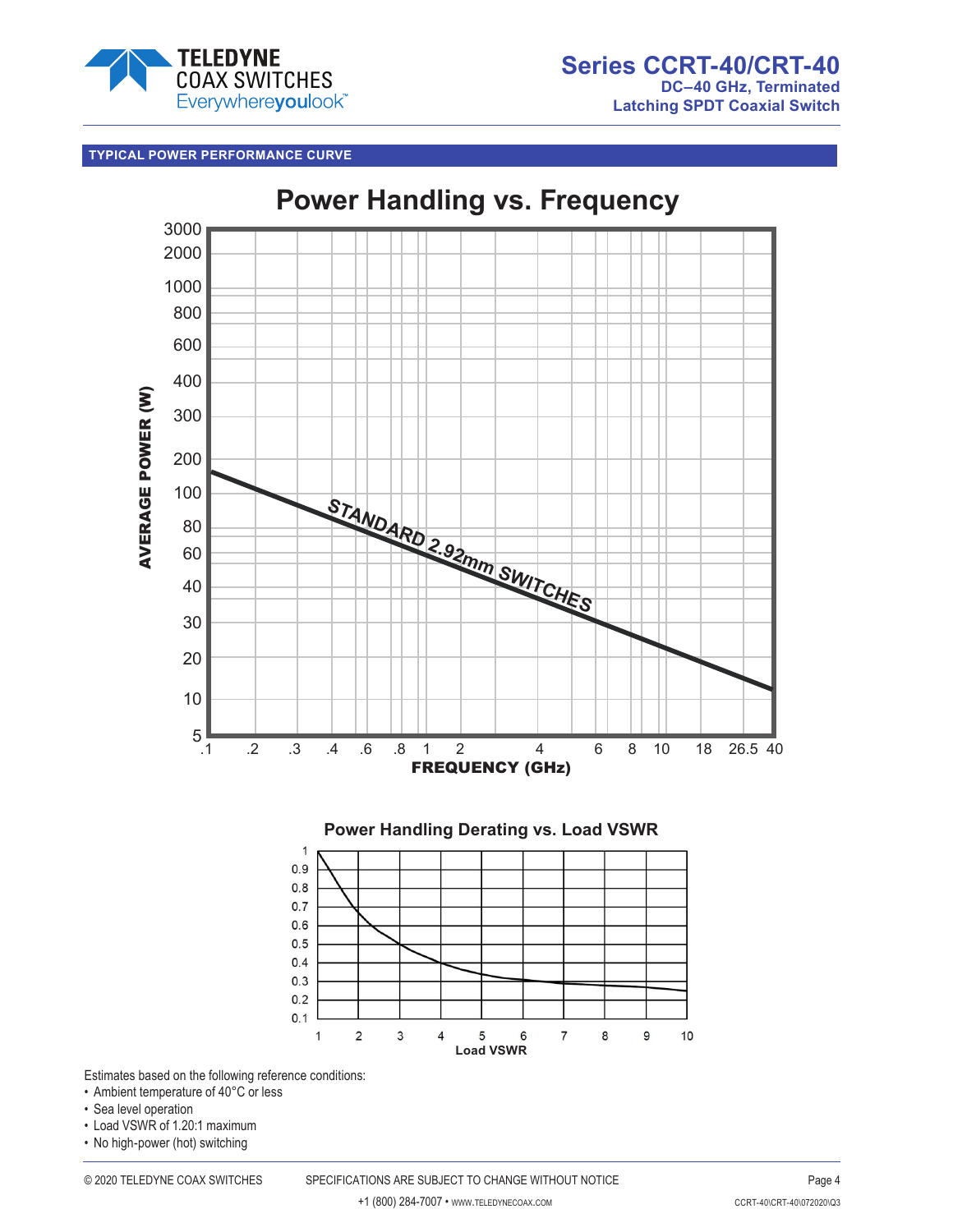

## **TYPICAL POWER PERFORMANCE CURVE**



Estimates based on the following reference conditions:

- Ambient temperature of 40°C or less
- Sea level operation
- Load VSWR of 1.20:1 maximum
- No high-power (hot) switching